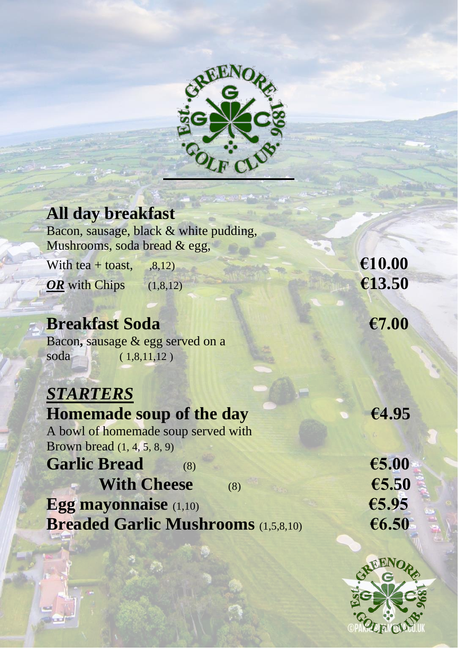

| <b>All day breakfast</b>                   |        |
|--------------------------------------------|--------|
| Bacon, sausage, black & white pudding,     |        |
| Mushrooms, soda bread & egg,               |        |
| With tea + toast, $, 8, 12)$               | €10.00 |
| OR with Chips $(1,8,12)$                   | €13.50 |
|                                            |        |
| <b>Breakfast Soda</b>                      | €7.00  |
| Bacon, sausage & egg served on a           |        |
| soda<br>(1,8,11,12)                        |        |
|                                            |        |
| <b>STARTERS</b>                            |        |
| <b>Homemade soup of the day</b>            | €4.95  |
| A bowl of homemade soup served with        |        |
| <b>Brown bread</b> (1, 4, 5, 8, 9)         |        |
| <b>Garlic Bread</b><br>(8)                 | €5.00  |
| <b>With Cheese</b><br>(8)                  | €5.50  |
| <b>Egg mayonnaise</b> (1,10)               | €5.95  |
| <b>Breaded Garlic Mushrooms</b> (1,5,8,10) | €6.50  |
|                                            |        |

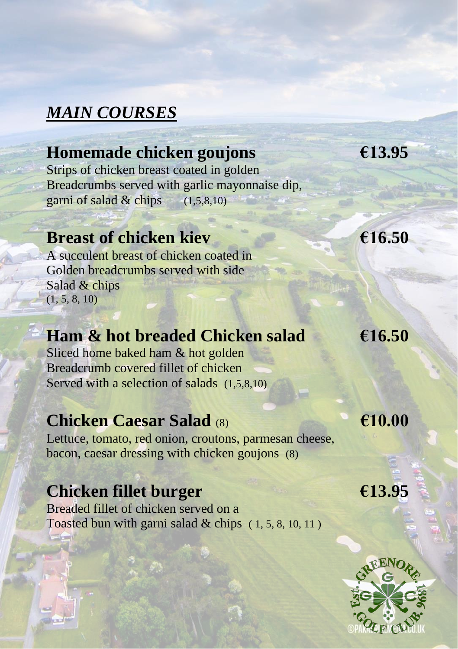# *MAIN COURSES*

### **Homemade chicken goujons €13.95**

Strips of chicken breast coated in golden Breadcrumbs served with garlic mayonnaise dip, garni of salad  $\&$  chips  $(1,5,8,10)$ 

#### **Breast of chicken kiev €16.50**

A succulent breast of chicken coated in Golden breadcrumbs served with side Salad & chips  $(1, 5, 8, 10)$ 

# **Ham & hot breaded Chicken salad €16.50**

Sliced home baked ham & hot golden Breadcrumb covered fillet of chicken Served with a selection of salads (1,5,8,10)

#### **Chicken Caesar Salad** (8) **€10.00**

Lettuce, tomato, red onion, croutons, parmesan cheese, bacon, caesar dressing with chicken goujons (8)

### **Chicken fillet burger €13.95**

Breaded fillet of chicken served on a Toasted bun with garni salad  $&chips$  (1, 5, 8, 10, 11)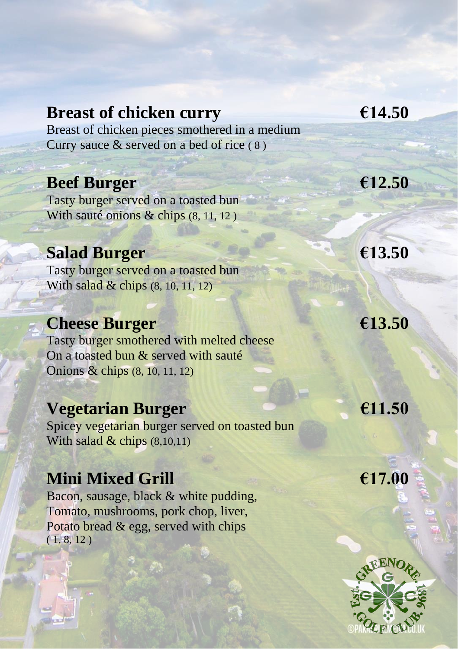#### **Breast of chicken curry €14.50**

Breast of chicken pieces smothered in a medium Curry sauce & served on a bed of rice ( 8 )

# **Beef Burger €12.50**

Tasty burger served on a toasted bun With sauté onions & chips (8, 11, 12)

#### **Salad Burger €13.50**

Tasty burger served on a toasted bun With salad & chips (8, 10, 11, 12)

# **Cheese Burger €13.50**

Tasty burger smothered with melted cheese On a toasted bun & served with sauté Onions & chips (8, 10, 11, 12)

#### **Vegetarian Burger €11.50**

Spicey vegetarian burger served on toasted bun With salad & chips (8,10,11)

#### **Mini Mixed Grill €17.00**

Bacon, sausage, black & white pudding, Tomato, mushrooms, pork chop, liver, Potato bread & egg, served with chips  $( 1, 8, 12 )$ 

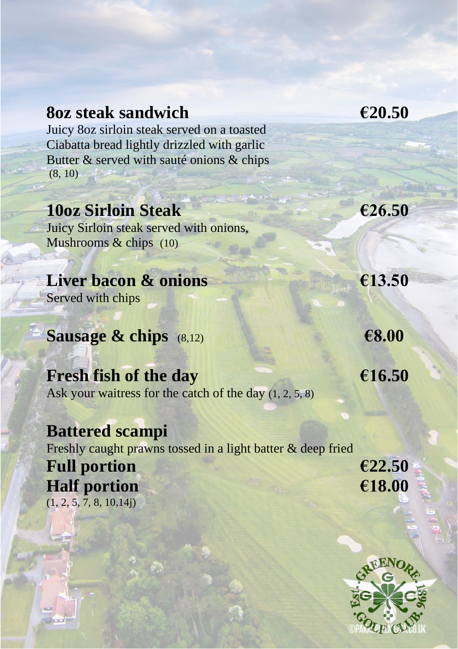#### **8oz steak sandwich €20.50**

Juicy 8oz sirloin steak served on a toasted Ciabatta bread lightly drizzled with garlic Butter & served with sauté onions & chips (8, 10)

#### **10oz Sirloin Steak €26.50**

Juicy Sirloin steak served with onions, Mushrooms  $\&$  chips (10)

#### **Liver bacon & onions €13.50**

Served with chips

**Sausage & chips** (8,12) **€8.00** 

**Fresh fish of the day €16.50** Ask your waitress for the catch of the day  $(1, 2, 5, 8)$ 

#### **Battered scampi**  Freshly caught prawns tossed in a light batter & deep fried Full portion  $\epsilon$  22.50 **Half portion €18.00**  $(1, 2, 5, 7, 8, 10, 14j)$

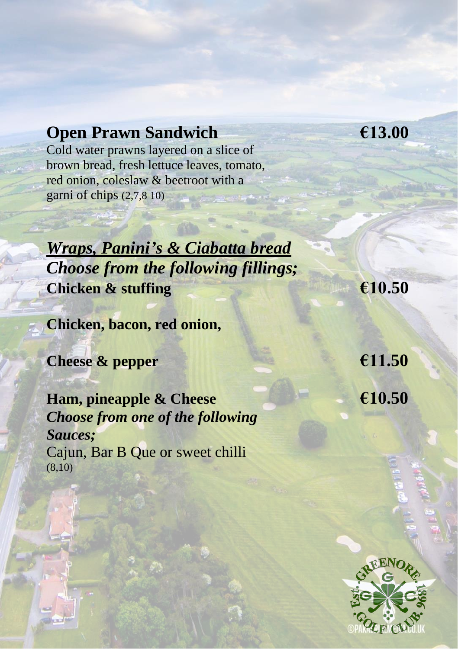### **Open Prawn Sandwich €13.00**

Cold water prawns layered on a slice of brown bread, fresh lettuce leaves, tomato, red onion, coleslaw & beetroot with a garni of chips (2,7,8 10)

*Wraps, Panini's & Ciabatta bread Choose from the following fillings;* **Chicken & stuffing €10.50**

**Chicken, bacon, red onion,**

**Cheese & pepper €11.50**

**Ham, pineapple & Cheese €10.50** *Choose from one of the following Sauces;* Cajun, Bar B Que or sweet chilli (8,10)

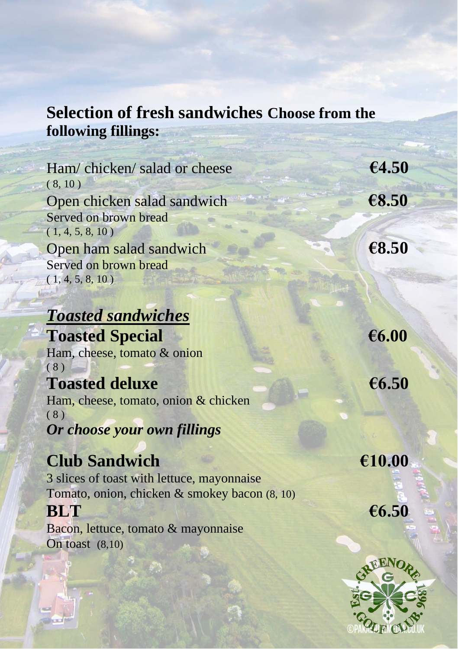# **Selection of fresh sandwiches Choose from the following fillings:**

| Ham/chicken/salad or cheese                   | €4.50  |
|-----------------------------------------------|--------|
| (8, 10)                                       |        |
| Open chicken salad sandwich                   | €8.50  |
| Served on brown bread                         |        |
| (1, 4, 5, 8, 10)                              |        |
| Open ham salad sandwich                       | €8.50  |
| Served on brown bread                         |        |
| (1, 4, 5, 8, 10)                              |        |
|                                               |        |
| <b>Toasted sandwiches</b>                     |        |
| <b>Toasted Special</b>                        | €6.00  |
| Ham, cheese, tomato & onion                   |        |
| (8)                                           |        |
| <b>Toasted deluxe</b>                         | €6.50  |
| Ham, cheese, tomato, onion & chicken          |        |
| (8)                                           |        |
| Or choose your own fillings                   |        |
|                                               |        |
| <b>Club Sandwich</b>                          | €10.00 |
| 3 slices of toast with lettuce, mayonnaise    |        |
| Tomato, onion, chicken & smokey bacon (8, 10) |        |
| <b>BLT</b>                                    | €6.50  |

Bacon, lettuce, tomato & mayonnaise On toast (8,10)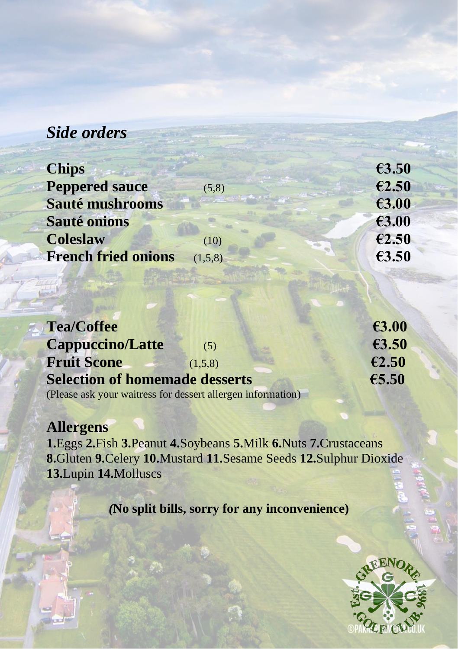### *Side orders*

| <b>Chips</b>               |         | €3.50 |
|----------------------------|---------|-------|
| <b>Peppered sauce</b>      | (5,8)   | €2.50 |
| Sauté mushrooms            |         | €3.00 |
| <b>Sauté onions</b>        |         | €3.00 |
| <b>Coleslaw</b>            | (10)    | €2.50 |
| <b>French fried onions</b> | (1,5,8) | €3.50 |
|                            |         |       |

| <b>Tea/Coffee</b>                                           | €3.00 |
|-------------------------------------------------------------|-------|
| <b>Cappuccino/Latte</b><br>(5)                              | €3.50 |
| <b>Fruit Scone</b><br>(1.5.8)                               | €2.50 |
| <b>Selection of homemade desserts</b>                       | €5.50 |
| (Please ask your waitress for dessert allergen information) |       |

**Allergens 1.**Eggs **2.**Fish **3.**Peanut **4.**Soybeans **5.**Milk **6.**Nuts **7.**Crustaceans **8.**Gluten **9.**Celery **10.**Mustard **11.**Sesame Seeds **12.**Sulphur Dioxide **13.**Lupin **14.**Molluscs

*(***No split bills, sorry for any inconvenience)**